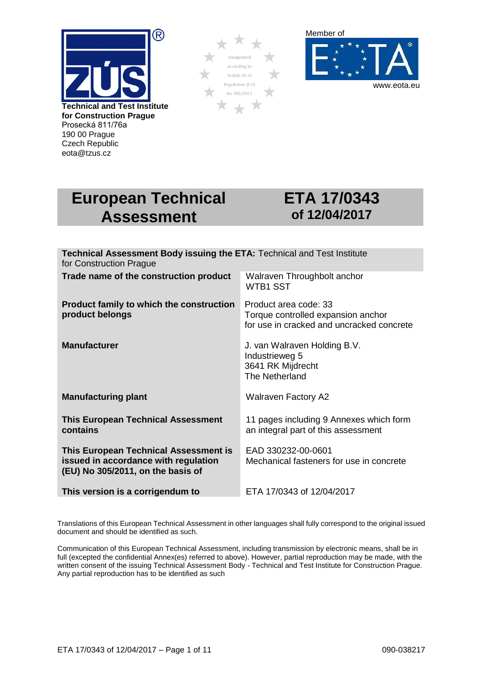

190 00 Prague Czech Republic eota@tzus.cz





# **European Technical Assessment**

# **ETA 17/0343 of 12/04/2017**

| Technical Assessment Body issuing the ETA: Technical and Test Institute<br>for Construction Prague                 |                                                                                                          |
|--------------------------------------------------------------------------------------------------------------------|----------------------------------------------------------------------------------------------------------|
| Trade name of the construction product                                                                             | Walraven Throughbolt anchor<br><b>WTB1 SST</b>                                                           |
| <b>Product family to which the construction</b><br>product belongs                                                 | Product area code: 33<br>Torque controlled expansion anchor<br>for use in cracked and uncracked concrete |
| <b>Manufacturer</b>                                                                                                | J. van Walraven Holding B.V.<br>Industrieweg 5<br>3641 RK Mijdrecht<br>The Netherland                    |
| <b>Manufacturing plant</b>                                                                                         | <b>Walraven Factory A2</b>                                                                               |
| <b>This European Technical Assessment</b><br>contains                                                              | 11 pages including 9 Annexes which form<br>an integral part of this assessment                           |
| This European Technical Assessment is<br>issued in accordance with regulation<br>(EU) No 305/2011, on the basis of | EAD 330232-00-0601<br>Mechanical fasteners for use in concrete                                           |
| This version is a corrigendum to                                                                                   | ETA 17/0343 of 12/04/2017                                                                                |

Translations of this European Technical Assessment in other languages shall fully correspond to the original issued document and should be identified as such.

Communication of this European Technical Assessment, including transmission by electronic means, shall be in full (excepted the confidential Annex(es) referred to above). However, partial reproduction may be made, with the written consent of the issuing Technical Assessment Body - Technical and Test Institute for Construction Prague. Any partial reproduction has to be identified as such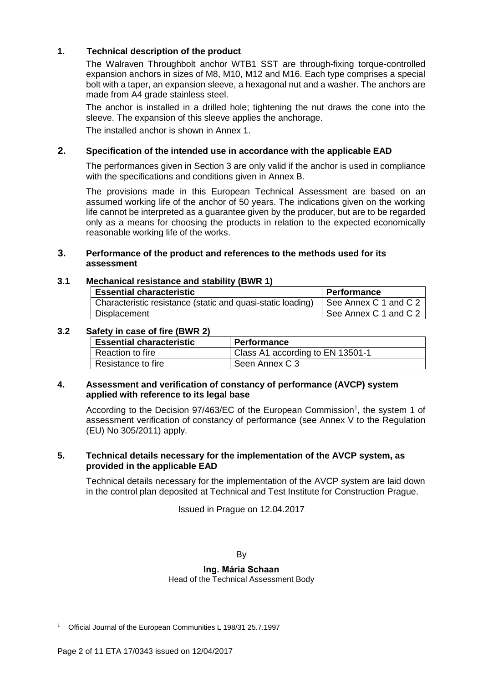### **1. Technical description of the product**

The Walraven Throughbolt anchor WTB1 SST are through-fixing torque-controlled expansion anchors in sizes of M8, M10, M12 and M16. Each type comprises a special bolt with a taper, an expansion sleeve, a hexagonal nut and a washer. The anchors are made from A4 grade stainless steel.

The anchor is installed in a drilled hole; tightening the nut draws the cone into the sleeve. The expansion of this sleeve applies the anchorage. The installed anchor is shown in Annex 1.

#### **2. Specification of the intended use in accordance with the applicable EAD**

The performances given in Section 3 are only valid if the anchor is used in compliance with the specifications and conditions given in Annex B.

The provisions made in this European Technical Assessment are based on an assumed working life of the anchor of 50 years. The indications given on the working life cannot be interpreted as a guarantee given by the producer, but are to be regarded only as a means for choosing the products in relation to the expected economically reasonable working life of the works.

#### **3. Performance of the product and references to the methods used for its assessment**

#### **3.1 Mechanical resistance and stability (BWR 1)**

| <b>Essential characteristic</b>                             | <b>Performance</b>    |
|-------------------------------------------------------------|-----------------------|
| Characteristic resistance (static and quasi-static loading) | See Annex C 1 and C 2 |
| <b>Displacement</b>                                         | See Annex C 1 and C 2 |

#### **3.2 Safety in case of fire (BWR 2)**

| <b>Essential characteristic</b> | <b>Performance</b>               |
|---------------------------------|----------------------------------|
| Reaction to fire                | Class A1 according to EN 13501-1 |
| Resistance to fire              | Seen Annex C 3                   |

#### **4. Assessment and verification of constancy of performance (AVCP) system applied with reference to its legal base**

According to the Decision 97/463/EC of the European Commission<sup>1</sup>, the system 1 of assessment verification of constancy of performance (see Annex V to the Regulation (EU) No 305/2011) apply.

#### **5. Technical details necessary for the implementation of the AVCP system, as provided in the applicable EAD**

Technical details necessary for the implementation of the AVCP system are laid down in the control plan deposited at Technical and Test Institute for Construction Prague.

Issued in Prague on 12.04.2017

By

**Ing. Mária Schaan**

Head of the Technical Assessment Body

<sup>1</sup> 1 Official Journal of the European Communities L 198/31 25.7.1997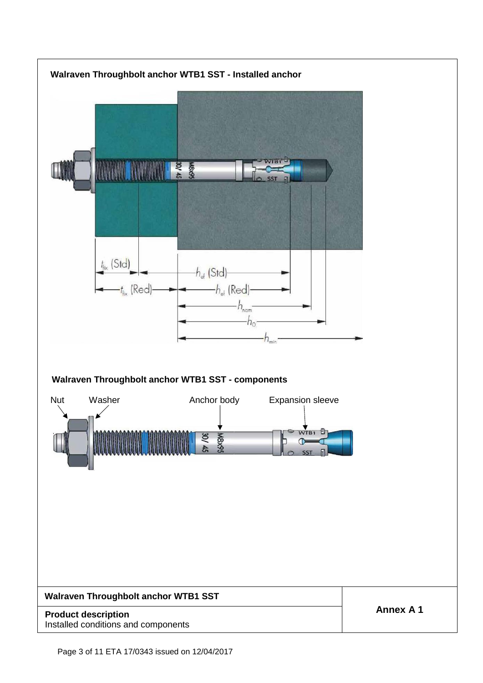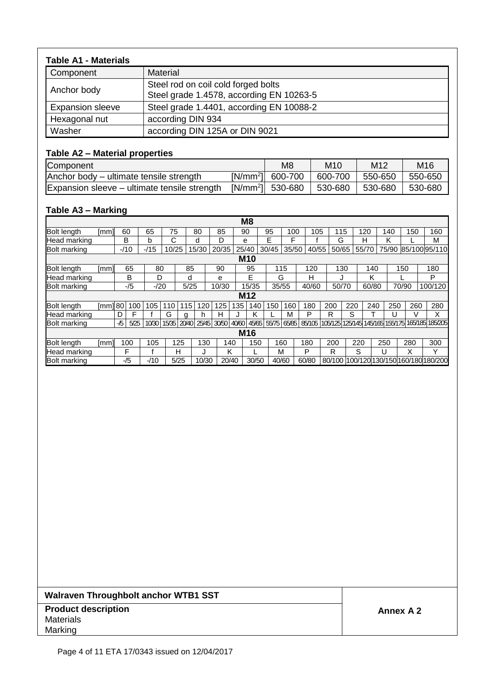| <b>Table A1 - Materials</b> |                                                                                 |
|-----------------------------|---------------------------------------------------------------------------------|
| Component                   | <b>Material</b>                                                                 |
| Anchor body                 | Steel rod on coil cold forged bolts<br>Steel grade 1.4578, according EN 10263-5 |
| <b>Expansion sleeve</b>     | Steel grade 1.4401, according EN 10088-2                                        |
| Hexagonal nut               | according DIN 934                                                               |
| Washer                      | according DIN 125A or DIN 9021                                                  |

# **Table A2 – Material properties**

| Component                                    | M8                            | M <sub>10</sub> | M <sub>12</sub> | M16     |
|----------------------------------------------|-------------------------------|-----------------|-----------------|---------|
| Anchor body – ultimate tensile strength      | $[N/mm^2]$ 600-700            | 600-700 550-650 |                 | 550-650 |
| Expansion sleeve – ultimate tensile strength | [N/mm <sup>2</sup> ]  530-680 | 530-680         | $ 530-680$      | 530-680 |

# **Table A3 – Marking**

|                     |         |     |        |        |             |      |       |       |       | M <sub>8</sub>  |       |       |       |     |       |       |       |     |       |                                                        |
|---------------------|---------|-----|--------|--------|-------------|------|-------|-------|-------|-----------------|-------|-------|-------|-----|-------|-------|-------|-----|-------|--------------------------------------------------------|
| <b>Bolt length</b>  | [mm]l   | 60  |        | 65     | 75          |      | 80    | 85    |       | 90              | 95    | 100   | 105   |     | 115   | 120   |       | 140 | 150   | 160                                                    |
| Head marking        |         |     | в      | b      | С           |      | d     | D     |       | е               | E     | F     |       |     | G     | н     |       | κ   |       | М                                                      |
| <b>Bolt marking</b> |         |     | $-110$ | $-115$ | 0/25        |      | 15/30 | 20/35 |       | 25/40           | 30/45 | 35/50 | 40/55 |     | 50/65 | 55/70 |       |     |       | 75/90 85/100 95/110                                    |
|                     |         |     |        |        |             |      |       |       |       | <b>M10</b>      |       |       |       |     |       |       |       |     |       |                                                        |
| <b>Bolt length</b>  | [mm]    |     | 65     | 80     |             | 85   |       | 90    |       | 95              |       | 115   | 120   |     | 130   |       | 140   |     | 150   | 180                                                    |
| Head marking        |         |     | B      | D      |             | d    |       | e     |       | E               |       | G     | н     |     |       |       | κ     |     |       | P                                                      |
| <b>Bolt marking</b> |         |     | $-15$  | $-120$ |             | 5/25 |       | 10/30 |       | 15/35           |       | 35/55 | 40/60 |     | 50/70 |       | 60/80 |     | 70/90 | 100/120                                                |
|                     |         |     |        |        |             |      |       |       |       | M <sub>12</sub> |       |       |       |     |       |       |       |     |       |                                                        |
| <b>Bolt length</b>  | [mm] 80 |     | 100    | 105    | 110         | 115  | 120   | 125   | 135   | 140             | 150   | 160   | 180   | 200 | 220   |       | 240   | 250 | 260   | 280                                                    |
| Head marking        |         | D   | F      |        | G           | g    | h.    | н     | J     | ĸ               |       | м     | P     | R   | S     |       |       | U   |       | x                                                      |
| <b>Bolt marking</b> |         | -/5 | 5/25   | 10/30  | 15/35 20/40 |      | 25/45 | 30/50 | 40/60 | 45/65           | 55/75 | 65/85 |       |     |       |       |       |     |       | 85/105 105/125 125/145 145/165 155/175 165/185 185/205 |
|                     |         |     |        |        |             |      |       |       |       | M16             |       |       |       |     |       |       |       |     |       |                                                        |
| <b>Bolt length</b>  | [mm]    |     | 100    | 105    | 125         |      | 130   | 140   |       | 150             |       | 160   | 180   | 200 |       | 220   | 250   |     | 280   | 300                                                    |
| Head marking        |         |     | F      |        | н           |      |       | Κ     |       |                 |       | М     | P     | R   |       | S     | U     |     | Χ     | v                                                      |
| <b>Bolt marking</b> |         |     | -/5    | $-110$ | 5/25        |      | 10/30 | 20/40 |       | 30/50           |       | 40/60 | 60/80 |     |       |       |       |     |       | 80/100 100/120 130/150 160/180 180/200                 |

# **Walraven Throughbolt anchor WTB1 SST**

#### **Product description Annex A 2** Materials Marking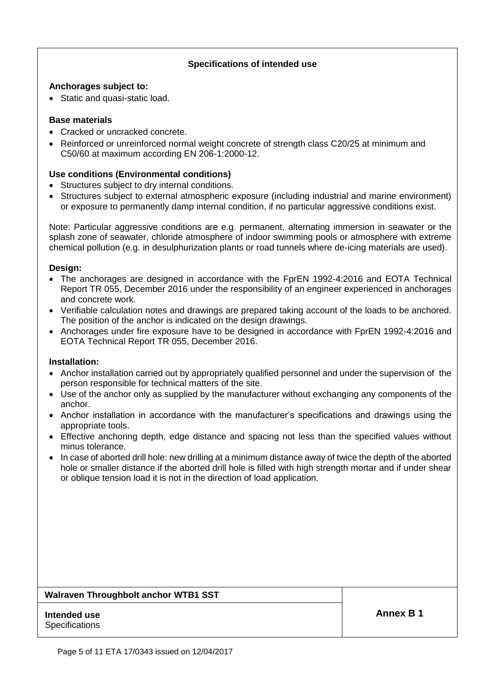### **Specifications of intended use**

#### **Anchorages subject to:**

• Static and quasi-static load.

#### **Base materials**

- Cracked or uncracked concrete.
- Reinforced or unreinforced normal weight concrete of strength class C20/25 at minimum and C50/60 at maximum according EN 206-1:2000-12.

#### **Use conditions (Environmental conditions)**

- Structures subject to dry internal conditions.
- Structures subject to external atmospheric exposure (including industrial and marine environment) or exposure to permanently damp internal condition, if no particular aggressive conditions exist.

Note: Particular aggressive conditions are e.g. permanent, alternating immersion in seawater or the splash zone of seawater, chloride atmosphere of indoor swimming pools or atmosphere with extreme chemical pollution (e.g. in desulphurization plants or road tunnels where de-icing materials are used).

#### **Design:**

- The anchorages are designed in accordance with the FprEN 1992-4:2016 and EOTA Technical Report TR 055, December 2016 under the responsibility of an engineer experienced in anchorages and concrete work.
- Verifiable calculation notes and drawings are prepared taking account of the loads to be anchored. The position of the anchor is indicated on the design drawings.
- Anchorages under fire exposure have to be designed in accordance with FprEN 1992-4:2016 and EOTA Technical Report TR 055, December 2016.

#### **Installation:**

- Anchor installation carried out by appropriately qualified personnel and under the supervision of the person responsible for technical matters of the site.
- Use of the anchor only as supplied by the manufacturer without exchanging any components of the anchor.
- Anchor installation in accordance with the manufacturer's specifications and drawings using the appropriate tools.
- Effective anchoring depth, edge distance and spacing not less than the specified values without minus tolerance.
- In case of aborted drill hole: new drilling at a minimum distance away of twice the depth of the aborted hole or smaller distance if the aborted drill hole is filled with high strength mortar and if under shear or oblique tension load it is not in the direction of load application.

#### **Walraven Throughbolt anchor WTB1 SST**

#### **Intended use Annex B 1 Specifications**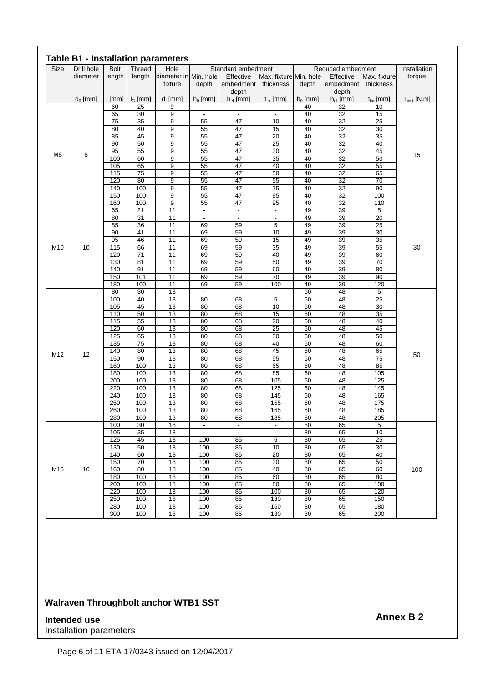| Size | Drill hole | <b>Bolt</b> | Thread          | Hole                             |                          | Standard embedment       |                                     |            | Reduced embedment      |                           | Installation     |
|------|------------|-------------|-----------------|----------------------------------|--------------------------|--------------------------|-------------------------------------|------------|------------------------|---------------------------|------------------|
|      | diameter   | length      | length          | diameter in Min. hole<br>fixture | depth                    | Effective<br>embedment   | Max. fixture Min. hole<br>thickness | depth      | Effective<br>embedment | Max. fixture<br>thickness | torque           |
|      | $d_0$ [mm] | [mm]        | $I_G$ [mm]      | $d_f$ [mm]                       | $h_0$ [mm]               | depth<br>$h_{ef}$ [mm]   | $t_{fix}$ [mm]                      | $h_0$ [mm] | depth<br>$h_{ef}$ [mm] | $t_{fix}$ [mm]            | $T_{inst}$ [N.m] |
|      |            | 60          | 25              | 9                                | $\overline{\phantom{a}}$ | $\overline{\phantom{a}}$ | $\overline{\phantom{a}}$            | 40         | 32                     | 10                        |                  |
|      |            | 65          | 30              | $\overline{9}$                   | $\overline{\phantom{a}}$ | $\overline{\phantom{a}}$ | $\overline{\phantom{a}}$            | 40         | $\overline{32}$        | 15                        |                  |
|      |            | 75<br>80    | 35<br>40        | 9<br>9                           | 55<br>55                 | 47<br>47                 | 10<br>15                            | 40<br>40   | $\overline{32}$<br>32  | $\overline{25}$<br>30     |                  |
|      |            | 85          | 45              | 9                                | 55                       | 47                       | $\overline{20}$                     | 40         | 32                     | 35                        |                  |
|      |            | 90          | 50              | 9                                | 55                       | 47                       | $\overline{25}$                     | 40         | $\overline{32}$        | 40                        |                  |
|      |            | 95          | 55              | 9                                | 55                       | 47                       | 30                                  | 40         | 32                     | 45                        |                  |
| M8   | 8          | 100         | 60              | 9                                | 55                       | 47                       | 35                                  | 40         | $\overline{32}$        | 50                        | 15               |
|      |            | 105         | 65              | 9                                | 55                       | 47                       | 40                                  | 40         | 32                     | 55                        |                  |
|      |            | 115         | $\overline{75}$ | 9                                | 55                       | 47                       | 50                                  | 40         | $\overline{32}$        | 65                        |                  |
|      |            | 120<br>140  | 80<br>100       | $\overline{9}$                   | 55                       | 47<br>47                 | 55                                  | 40         | 32                     | 70<br>90                  |                  |
|      |            | 150         | 100             | 9<br>$\overline{9}$              | 55<br>55                 | 47                       | $\overline{75}$<br>85               | 40<br>40   | 32<br>32               | 100                       |                  |
|      |            | 160         | 100             | 9                                | 55                       | 47                       | 95                                  | 40         | 32                     | 110                       |                  |
|      |            | 65          | $\overline{21}$ | 11                               | $\overline{\phantom{a}}$ | -                        | $\overline{\phantom{a}}$            | 49         | 39                     | 5                         |                  |
|      |            | 80          | 31              | 11                               | $\overline{\phantom{a}}$ | $\overline{\phantom{a}}$ | $\overline{\phantom{a}}$            | 49         | 39                     | $\overline{20}$           |                  |
|      |            | 85          | 36              | 11                               | 69                       | 59                       | 5                                   | 49         | 39                     | 25                        |                  |
|      |            | 90          | 41              | 11                               | 69                       | 59                       | 10                                  | 49         | 39                     | 30                        |                  |
|      |            | 95          | 46              | 11                               | 69                       | 59                       | 15                                  | 49         | 39                     | 35                        |                  |
| M10  | 10         | 115         | 66              | 11                               | 69                       | 59                       | 35                                  | 49         | 39                     | 55                        | 30               |
|      |            | 120<br>130  | 71<br>81        | 11<br>11                         | 69<br>69                 | 59<br>59                 | 40<br>50                            | 49<br>49   | 39<br>39               | 60<br>70                  |                  |
|      |            | 140         | 91              | 11                               | 69                       | 59                       | 60                                  | 49         | 39                     | 80                        |                  |
|      |            | 150         | 101             | 11                               | 69                       | 59                       | 70                                  | 49         | 39                     | 90                        |                  |
|      |            | 180         | 100             | 11                               | 69                       | 59                       | 100                                 | 49         | 39                     | 120                       |                  |
|      |            | 80          | 30              | $\overline{13}$                  | $\sim$                   | $\blacksquare$           | $\overline{\phantom{a}}$            | 60         | 48                     | 5                         |                  |
|      |            | 100         | 40              | 13                               | 80                       | 68                       | 5                                   | 60         | 48                     | 25                        |                  |
|      |            | 105         | 45              | 13                               | 80                       | 68                       | 10                                  | 60         | 48                     | 30                        |                  |
|      |            | 110         | 50              | 13                               | 80<br>80                 | 68                       | 15                                  | 60         | 48<br>48               | 35<br>40                  |                  |
|      |            | 115<br>120  | 55<br>60        | 13<br>13                         | 80                       | 68<br>68                 | $\overline{20}$<br>25               | 60<br>60   | 48                     | 45                        |                  |
|      |            | 125         | 65              | 13                               | 80                       | 68                       | 30                                  | 60         | 48                     | 50                        |                  |
|      |            | 135         | $\overline{75}$ | 13                               | 80                       | 68                       | 40                                  | 60         | 48                     | 60                        |                  |
|      |            | 140         | 80              | 13                               | 80                       | 68                       | 45                                  | 60         | 48                     | 65                        | 50               |
| M12  | 12         | 150         | 90              | 13                               | 80                       | 68                       | 55                                  | 60         | 48                     | $\overline{75}$           |                  |
|      |            | 160         | 100             | 13                               | 80                       | 68                       | 65                                  | 60         | 48                     | 85                        |                  |
|      |            | 180         | 100             | 13                               | 80                       | 68                       | 85                                  | 60         | 48                     | 105                       |                  |
|      |            | 200<br>220  | 100<br>100      | 13<br>13                         | 80<br>80                 | 68<br>68                 | 105<br>125                          | 60<br>60   | 48<br>48               | 125<br>145                |                  |
|      |            | 240         | 100             | 13                               | 80                       | 68                       | 145                                 | 60         | 48                     | 165                       |                  |
|      |            | 250         | 100             | 13                               | 80                       | 68                       | 155                                 | 60         | 48                     | 175                       |                  |
|      |            | 260         | 100             | 13                               | 80                       | 68                       | 165                                 | 60         | 48                     | 185                       |                  |
|      |            | 280         | 100             | 13                               | 80                       | 68                       | 185                                 | 60         | 48                     | 205                       |                  |
|      |            | 100         | 30              | 18                               | $\blacksquare$           | $\overline{\phantom{a}}$ | $\overline{\phantom{a}}$            | 80         | 65                     | 5                         |                  |
|      |            | 105         | 35              | 18                               | $\overline{\phantom{a}}$ | $\overline{\phantom{a}}$ | $\overline{\phantom{a}}$            | 80         | 65                     | 10                        |                  |
|      |            | 125         | 45              | 18                               | 100                      | 85                       | 5                                   | 80         | 65                     | 25                        |                  |
|      |            | 130<br>140  | 50<br>60        | 18<br>18                         | 100<br>100               | 85<br>85                 | 10<br>20                            | 80<br>80   | 65<br>65               | 30<br>40                  |                  |
|      |            | 150         | 70              | 18                               | 100                      | 85                       | $\overline{30}$                     | 80         | 65                     | 50                        |                  |
| M16  | 16         | 160         | 80              | 18                               | 100                      | 85                       | 40                                  | 80         | 65                     | 60                        | 100              |
|      |            | 180         | 100             | 18                               | 100                      | 85                       | 60                                  | 80         | 65                     | 80                        |                  |
|      |            | 200         | 100             | 18                               | 100                      | 85                       | 80                                  | 80         | 65                     | 100                       |                  |
|      |            | 220         | 100             | 18                               | 100                      | 85                       | 100                                 | 80         | 65                     | 120                       |                  |
|      |            | 250         | 100             | 18                               | 100                      | 85                       | 130                                 | 80         | 65                     | 150                       |                  |
|      |            | 280         | 100             | 18                               | 100                      | 85                       | 160                                 | 80         | 65                     | 180                       |                  |
|      |            | 300         | 100             | 18                               | 100                      | 85                       | 180                                 | 80         | 65                     | 200                       |                  |

# **Walraven Throughbolt anchor WTB1 SST**

# **Annex B 2 Annex B 2** Installation parameters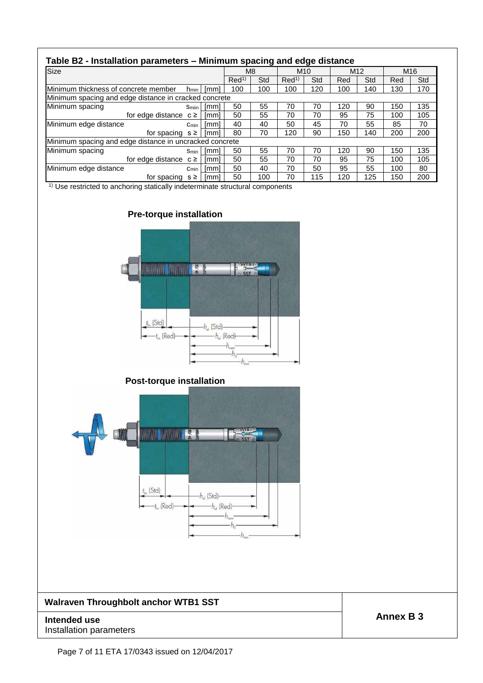| Table B2 - Installation parameters – Minimum spacing and edge distance |              |      |                  |     |                  |     |                 |     |                 |     |
|------------------------------------------------------------------------|--------------|------|------------------|-----|------------------|-----|-----------------|-----|-----------------|-----|
| Size                                                                   |              |      | M8               |     | M <sub>10</sub>  |     | M <sub>12</sub> |     | M <sub>16</sub> |     |
|                                                                        |              |      | Red <sup>1</sup> | Std | Red <sup>1</sup> | Std | Red             | Std | Red             | Std |
| Minimum thickness of concrete member                                   | hmin         | [mm] | 100              | 100 | 100              | 120 | 100             | 140 | 130             | 170 |
| Minimum spacing and edge distance in cracked concrete                  |              |      |                  |     |                  |     |                 |     |                 |     |
| Minimum spacing                                                        | <b>Smiin</b> | [mm] | 50               | 55  | 70               | 70  | 120             | 90  | 150             | 135 |
| for edge distance $c \ge$                                              |              | [mm] | 50               | 55  | 70               | 70  | 95              | 75  | 100             | 105 |
| Minimum edge distance                                                  | $C_{min}$    | [mm] | 40               | 40  | 50               | 45  | 70              | 55  | 85              | 70  |
| for spacing $s \geq$                                                   |              | [mm] | 80               | 70  | 120              | 90  | 150             | 140 | 200             | 200 |
| Minimum spacing and edge distance in uncracked concrete                |              |      |                  |     |                  |     |                 |     |                 |     |
| Minimum spacing                                                        | Smin         | [mm] | 50               | 55  | 70               | 70  | 120             | 90  | 150             | 135 |
| for edge distance $c \ge$                                              |              | [mm] | 50               | 55  | 70               | 70  | 95              | 75  | 100             | 105 |
| Minimum edge distance                                                  | Cmin         | [mm] | 50               | 40  | 70               | 50  | 95              | 55  | 100             | 80  |
| for spacing                                                            | s≥           | [mm] | 50               | 100 | 70               | 115 | 120             | 125 | 150             | 200 |

<sup>1)</sup> Use restricted to anchoring statically indeterminate structural components

# **Pre-torque installation**



# **Post-torque installation**



# **Walraven Throughbolt anchor WTB1 SST**

Installation parameters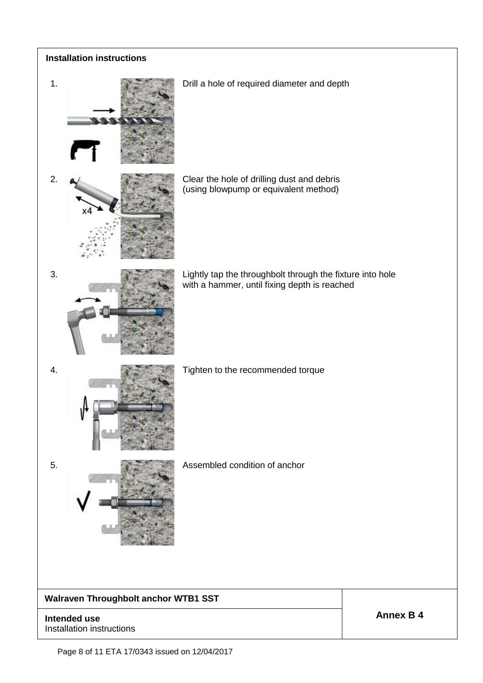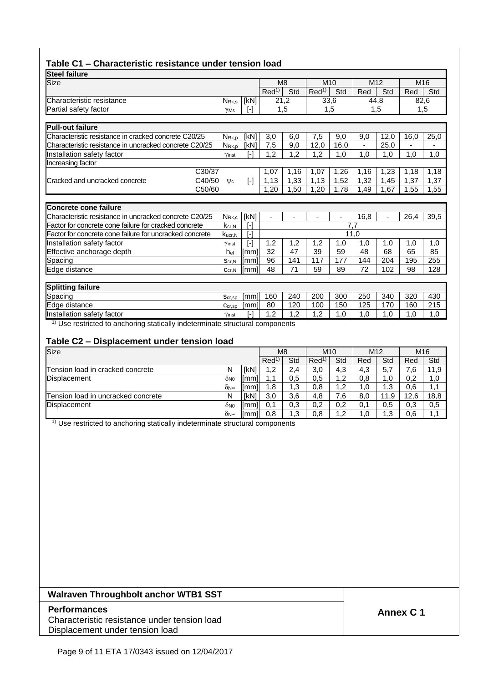### **Table C1 – Characteristic resistance under tension load**

|                   |                                                                                                                        |                                 |                                              |                                                         |                        |                                                                              |                                               |                                                           | M16                            |
|-------------------|------------------------------------------------------------------------------------------------------------------------|---------------------------------|----------------------------------------------|---------------------------------------------------------|------------------------|------------------------------------------------------------------------------|-----------------------------------------------|-----------------------------------------------------------|--------------------------------|
|                   |                                                                                                                        | Red <sup>1</sup>                | Std                                          |                                                         | Std                    | Red                                                                          | Std                                           | Red                                                       | Std                            |
| N <sub>Rk,s</sub> | [kN]                                                                                                                   |                                 |                                              |                                                         |                        |                                                                              |                                               |                                                           | 82,6                           |
| $Y$ Ms            | [-]                                                                                                                    |                                 |                                              |                                                         |                        |                                                                              |                                               |                                                           | 1.5                            |
|                   |                                                                                                                        |                                 |                                              |                                                         |                        |                                                                              |                                               |                                                           |                                |
|                   |                                                                                                                        |                                 |                                              |                                                         |                        |                                                                              |                                               |                                                           |                                |
| $N_{\rm Rk,p}$    | [KN]                                                                                                                   | 3,0                             | 6,0                                          | 7,5                                                     | 9,0                    | 9,0                                                                          | 12,0                                          | 16,0                                                      | 25,0                           |
|                   | [kN]                                                                                                                   | 7,5                             | 9,0                                          | 12,0                                                    | 16,0                   | $\blacksquare$                                                               | 25,0                                          |                                                           |                                |
| Yinst             | [-]                                                                                                                    | 1,2                             | 1,2                                          | 1,2                                                     | 1,0                    | 1,0                                                                          | 1,0                                           | 1,0                                                       | 1,0                            |
|                   |                                                                                                                        |                                 |                                              |                                                         |                        |                                                                              |                                               |                                                           |                                |
|                   |                                                                                                                        | 1,07                            | 1,16                                         | 1,07                                                    | 1,26                   | 1,16                                                                         | 1,23                                          | 1,18                                                      | 1,18                           |
| $\mathsf{\Psi c}$ | $[\cdot]$                                                                                                              | 1,13                            | 1,33                                         | 1,13                                                    | 1,52                   | 1,32                                                                         | 1,45                                          | 1,37                                                      | 1,37                           |
|                   |                                                                                                                        | 1.20                            | 1,50                                         | 1,20                                                    | 1,78                   | 1,49                                                                         | 1,67                                          | 1,55                                                      | 1,55                           |
|                   |                                                                                                                        |                                 |                                              |                                                         |                        |                                                                              |                                               |                                                           |                                |
|                   |                                                                                                                        |                                 |                                              |                                                         |                        |                                                                              |                                               |                                                           |                                |
|                   |                                                                                                                        | Ξ.                              |                                              |                                                         | ä,                     |                                                                              |                                               |                                                           | 39,5                           |
|                   | [-]                                                                                                                    |                                 |                                              |                                                         |                        |                                                                              |                                               |                                                           |                                |
| Kucr, N           |                                                                                                                        |                                 |                                              |                                                         |                        |                                                                              |                                               |                                                           |                                |
| Yinst             | ſ-1                                                                                                                    |                                 | 1,2                                          | 1,2                                                     | 1,0                    | 1,0                                                                          | 1,0                                           | 1,0                                                       | 1,0                            |
|                   |                                                                                                                        |                                 |                                              |                                                         |                        |                                                                              |                                               |                                                           | 85                             |
| Scr,N             |                                                                                                                        |                                 |                                              |                                                         |                        |                                                                              |                                               |                                                           | 255                            |
| $C_{cr,N}$        |                                                                                                                        |                                 |                                              |                                                         |                        |                                                                              |                                               |                                                           | 128                            |
|                   |                                                                                                                        |                                 |                                              |                                                         |                        |                                                                              |                                               |                                                           |                                |
|                   |                                                                                                                        |                                 |                                              |                                                         |                        |                                                                              |                                               |                                                           |                                |
| $S_{cr,SP}$       |                                                                                                                        |                                 |                                              |                                                         |                        |                                                                              |                                               |                                                           | 430                            |
|                   | [mm]                                                                                                                   | 80                              | 120                                          | 100                                                     | 150                    | 125                                                                          | 170                                           | 160                                                       | 215                            |
| $C_{cr,sp}$       | $\lceil - \rceil$                                                                                                      | 1,2                             | 1,2                                          | 1,2                                                     | 1,0                    | 1,0                                                                          | 1,0                                           | 1,0                                                       | 1,0                            |
|                   | $N_{R\underline{k},\underline{p}}$<br>C30/37<br>C40/50<br>C50/60<br>$N_{\text{Rk},c}$<br>$k_{cr,N}$<br>h <sub>ef</sub> | [kN]<br>$[ - ]$<br>[mm]<br>[mm] | 1,2<br>32<br>[mm]<br>96<br>48<br>[mm]<br>160 | M <sub>8</sub><br>21,2<br>1,5<br>47<br>141<br>71<br>240 | 39<br>117<br>59<br>200 | M <sub>10</sub><br>Red <sup>1</sup><br>33,6<br>1,5<br>59<br>177<br>89<br>300 | 16,8<br>7,7<br>11,0<br>48<br>144<br>72<br>250 | M <sub>12</sub><br>44,8<br>1,5<br>68<br>204<br>102<br>340 | 26,4<br>65<br>195<br>98<br>320 |

Use restricted to anchoring statically indeterminate structural components

#### **Table C2 – Displacement under tension load**

| Size                               |     |        | M <sub>8</sub>   |     | M <sub>10</sub>  |         | M <sub>12</sub> |      | M <sub>16</sub> |      |
|------------------------------------|-----|--------|------------------|-----|------------------|---------|-----------------|------|-----------------|------|
|                                    |     |        | Red <sup>1</sup> | Std | Red <sup>1</sup> | Std     | Red             | Std  | Red             | Std  |
| Tension load in cracked concrete   | N   | [kN]   | 1,2              | 2,4 | 3,0              | 4.3     | 4,3             | 5,7  | $^{\prime}$ .6  | 11.9 |
| Displacement                       | ŎN0 | limmil | 1.1              | 0,5 | 0,5              | ∍.2     | 0,8             | .0   | 0,2             | 1,0  |
|                                    | δN∞ | limmil | 1,8              | 1,3 | 0,8              | .2      | 1.0             | .3   | 0.6             | 1,1  |
| Tension load in uncracked concrete | Ν   | [kN]   | 3,0              | 3,6 | 4,8              | .6      | 8,0             | 11,9 | 12,6            | 18,8 |
| Displacement                       | ŎN0 | limml  | 0.1              | 0,3 | 0,2              | 0.2     | 0,1             | 0,5  | 0,3             | 0,5  |
|                                    | δN∞ | limmil | 0,8              | 1.3 | 0,8              | ി<br>ے. | 1.0             | .3   | 0.6             | . .  |

<sup>1)</sup> Use restricted to anchoring statically indeterminate structural components

#### **Walraven Throughbolt anchor WTB1 SST**

#### **Performances** Characteristic resistance under tension load Displacement under tension load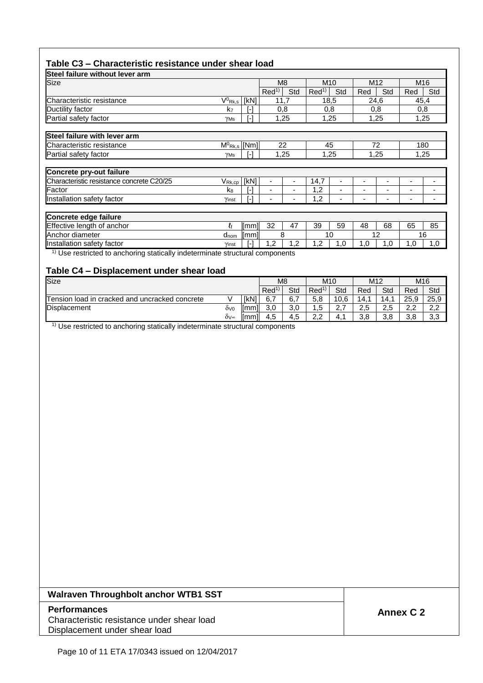### **Table C3 – Characteristic resistance under shear load**

| Steel failure without lever arm                                                |                              |      |                  |                |                  |      |                 |     |                 |     |
|--------------------------------------------------------------------------------|------------------------------|------|------------------|----------------|------------------|------|-----------------|-----|-----------------|-----|
| <b>Size</b>                                                                    |                              |      |                  | M <sub>8</sub> | M <sub>10</sub>  |      | M <sub>12</sub> |     | M <sub>16</sub> |     |
|                                                                                |                              |      | Red <sup>1</sup> | Std            | Red <sup>1</sup> | Std  | Red             | Std | Red             | Std |
| Characteristic resistance                                                      | $V^0$ Rk,s                   | [kN] | 11,7             |                |                  | 18,5 | 24,6            |     | 45,4            |     |
| Ductility factor                                                               | k7                           | ۸    |                  | 0,8            |                  | 0,8  | 0,8             |     | 0,8             |     |
| Partial safety factor                                                          | $Y$ Ms                       | ٦    |                  | 1,25           |                  | 1,25 | 1,25            |     | 1,25            |     |
| Steel failure with lever arm                                                   |                              |      |                  |                |                  |      |                 |     |                 |     |
| Characteristic resistance                                                      | $M^{0}$ <sub>Rk,s</sub> [Nm] |      |                  | 22             | 45               |      |                 | 72  | 180             |     |
| Partial safety factor                                                          | YMs                          | ۸    |                  | 1,25           |                  | 1,25 | 1,25            |     | 1,25            |     |
| Concrete pry-out failure                                                       |                              |      |                  |                |                  |      |                 |     |                 |     |
| Characteristic resistance concrete C20/25                                      | $V_{\text{Rk,cp}}$ [kN]      |      | ٠                | ۰              | 14,7             |      |                 | ٠   |                 |     |
| Factor                                                                         | k <sub>8</sub>               | ۸    | $\overline{a}$   | ٠              | 1,2              |      |                 |     | -               |     |
| Installation safety factor                                                     | Yinst                        | ۸    | ۰                | ٠              | 1,2              |      |                 | ۰   |                 |     |
| Concrete edge failure                                                          |                              |      |                  |                |                  |      |                 |     |                 |     |
| Effective length of anchor                                                     | łf                           | [mm] | 32               | 47             | 39               | 59   | 48              | 68  | 65              | 85  |
| Anchor diameter                                                                | $d_{\text{nom}}$             | [mm] | 8                |                | 10               |      | 12              |     | 16              |     |
| Installation safety factor                                                     | Yinst                        | [-]  | 1,2              | 1,2            | 1,2              | 1,0  | 1,0             | 1,0 | 1,0             | 1,0 |
| $1$ Use restricted to anchoring statically indeterminate structural components |                              |      |                  |                |                  |      |                 |     |                 |     |

#### **Table C4 – Displacement under shear load**

| Size                                           |     | M <sub>8</sub> | M <sub>10</sub>  |                 | M <sub>12</sub>  |          | M <sub>16</sub> |     |          |                        |
|------------------------------------------------|-----|----------------|------------------|-----------------|------------------|----------|-----------------|-----|----------|------------------------|
|                                                |     |                | Red <sup>1</sup> | Std             | Red <sup>1</sup> | Std      | Red             | Std | Red      | Std                    |
| Tension load in cracked and uncracked concrete |     | [kN]           | 6,7              | 6,7             | 5,8              | 10,6     | 14.1            | 14. | 25,9     | 25,9                   |
| <b>Displacement</b>                            | ÒV0 | [mm]           | 3,0              | $\Omega$<br>v,v | ∽<br>ن. ا        | <u>.</u> | 2,5             | 2,5 | ົ<br>Z.Z | $\cap$<br>$\sim, \sim$ |
|                                                | δ∨∞ | [mm]           | 4,5              | -<br>4,5        | າາ<br>ے .        | 4.       | 3,8             | 3,8 | 3,8      | 3,3                    |

<sup>1)</sup> Use restricted to anchoring statically indeterminate structural components

#### **Walraven Throughbolt anchor WTB1 SST**

#### **Performances** Characteristic resistance under shear load Displacement under shear load